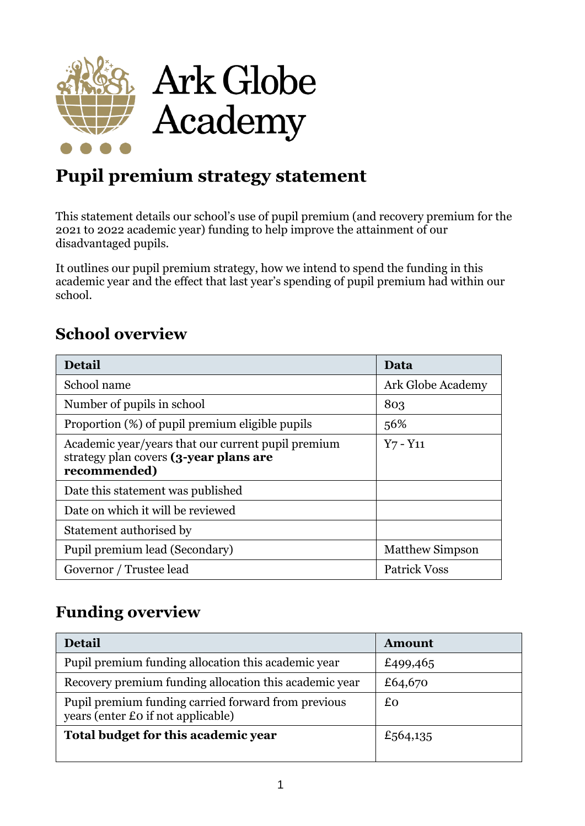

# **Pupil premium strategy statement**

This statement details our school's use of pupil premium (and recovery premium for the 2021 to 2022 academic year) funding to help improve the attainment of our disadvantaged pupils.

It outlines our pupil premium strategy, how we intend to spend the funding in this academic year and the effect that last year's spending of pupil premium had within our school.

### **School overview**

| <b>Detail</b>                                                                                                | Data                   |
|--------------------------------------------------------------------------------------------------------------|------------------------|
| School name                                                                                                  | Ark Globe Academy      |
| Number of pupils in school                                                                                   | 803                    |
| Proportion (%) of pupil premium eligible pupils                                                              | 56%                    |
| Academic year/years that our current pupil premium<br>strategy plan covers (3-year plans are<br>recommended) | $Y7 - Y11$             |
| Date this statement was published                                                                            |                        |
| Date on which it will be reviewed                                                                            |                        |
| Statement authorised by                                                                                      |                        |
| Pupil premium lead (Secondary)                                                                               | <b>Matthew Simpson</b> |
| Governor / Trustee lead                                                                                      | <b>Patrick Voss</b>    |

# **Funding overview**

| <b>Detail</b>                                                                             | <b>Amount</b> |
|-------------------------------------------------------------------------------------------|---------------|
| Pupil premium funding allocation this academic year                                       | £499,465      |
| Recovery premium funding allocation this academic year                                    | £64,670       |
| Pupil premium funding carried forward from previous<br>years (enter £0 if not applicable) | £o            |
| Total budget for this academic year                                                       | £564,135      |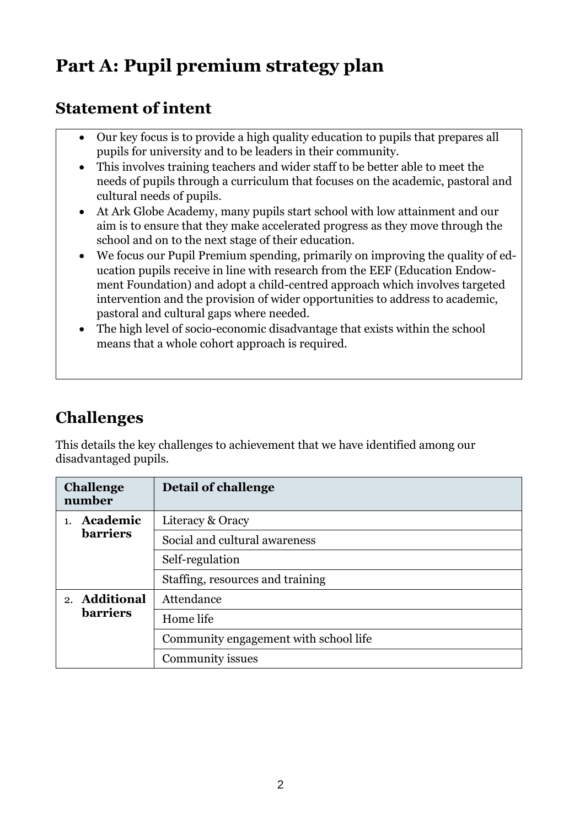# **Part A: Pupil premium strategy plan**

### **Statement of intent**

- Our key focus is to provide a high quality education to pupils that prepares all pupils for university and to be leaders in their community.
- This involves training teachers and wider staff to be better able to meet the needs of pupils through a curriculum that focuses on the academic, pastoral and cultural needs of pupils.
- At Ark Globe Academy, many pupils start school with low attainment and our aim is to ensure that they make accelerated progress as they move through the school and on to the next stage of their education.
- We focus our Pupil Premium spending, primarily on improving the quality of education pupils receive in line with research from the EEF (Education Endowment Foundation) and adopt a child-centred approach which involves targeted intervention and the provision of wider opportunities to address to academic, pastoral and cultural gaps where needed.
- The high level of socio-economic disadvantage that exists within the school means that a whole cohort approach is required.

# **Challenges**

This details the key challenges to achievement that we have identified among our disadvantaged pupils.

| <b>Challenge</b><br>number | Detail of challenge                   |
|----------------------------|---------------------------------------|
| Academic                   | Literacy & Oracy                      |
| <b>barriers</b>            | Social and cultural awareness         |
|                            | Self-regulation                       |
|                            | Staffing, resources and training      |
| 2. Additional              | Attendance                            |
| <b>barriers</b>            | Home life                             |
|                            | Community engagement with school life |
|                            | Community issues                      |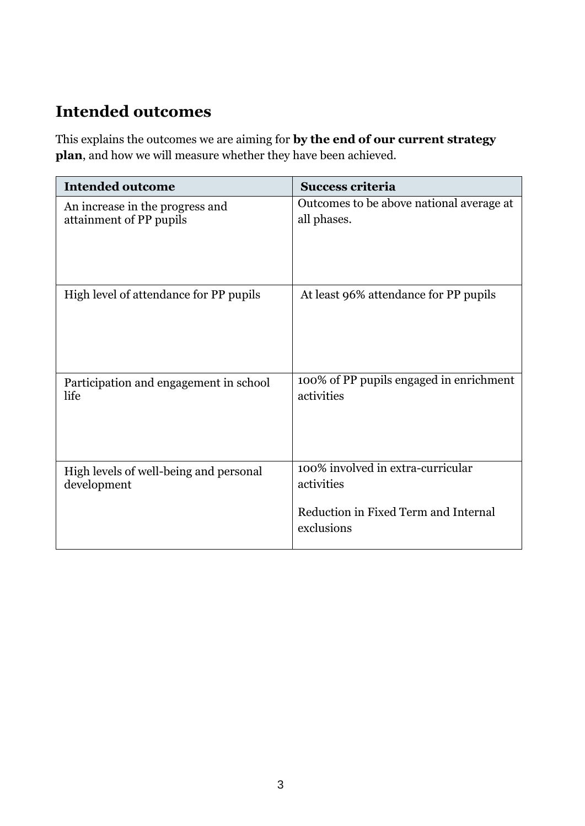## **Intended outcomes**

This explains the outcomes we are aiming for **by the end of our current strategy plan**, and how we will measure whether they have been achieved.

| <b>Intended outcome</b>                | <b>Success criteria</b>                            |
|----------------------------------------|----------------------------------------------------|
| An increase in the progress and        | Outcomes to be above national average at           |
| attainment of PP pupils                | all phases.                                        |
| High level of attendance for PP pupils | At least 96% attendance for PP pupils              |
| Participation and engagement in school | 100% of PP pupils engaged in enrichment            |
| life                                   | activities                                         |
| High levels of well-being and personal | 100% involved in extra-curricular                  |
| development                            | activities                                         |
|                                        | Reduction in Fixed Term and Internal<br>exclusions |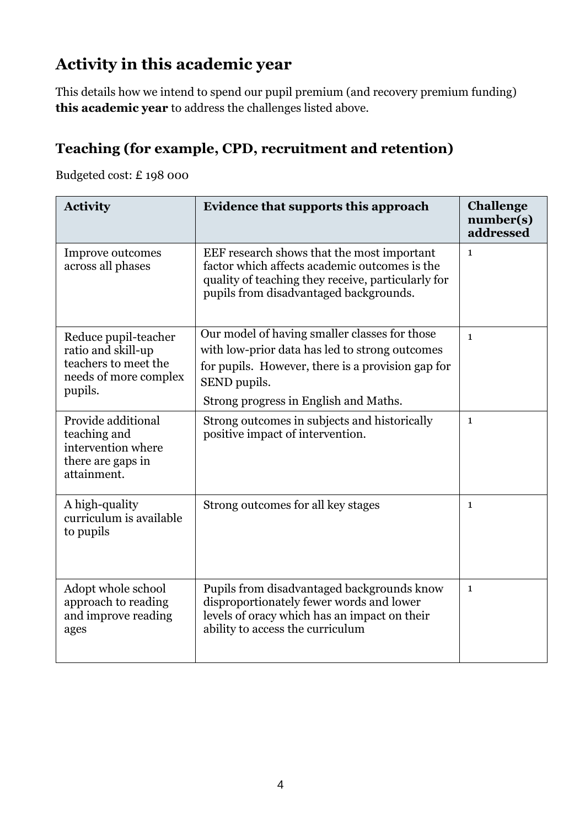## **Activity in this academic year**

This details how we intend to spend our pupil premium (and recovery premium funding) **this academic year** to address the challenges listed above.

#### **Teaching (for example, CPD, recruitment and retention)**

Budgeted cost: £ 198 000

| <b>Activity</b>                                                                                        | Evidence that supports this approach                                                                                                                                                                          | <b>Challenge</b><br>number(s)<br>addressed |
|--------------------------------------------------------------------------------------------------------|---------------------------------------------------------------------------------------------------------------------------------------------------------------------------------------------------------------|--------------------------------------------|
| Improve outcomes<br>across all phases                                                                  | EEF research shows that the most important<br>factor which affects academic outcomes is the<br>quality of teaching they receive, particularly for<br>pupils from disadvantaged backgrounds.                   | $\mathbf{1}$                               |
| Reduce pupil-teacher<br>ratio and skill-up<br>teachers to meet the<br>needs of more complex<br>pupils. | Our model of having smaller classes for those<br>with low-prior data has led to strong outcomes<br>for pupils. However, there is a provision gap for<br>SEND pupils.<br>Strong progress in English and Maths. | $\mathbf{1}$                               |
| Provide additional<br>teaching and<br>intervention where<br>there are gaps in<br>attainment.           | Strong outcomes in subjects and historically<br>positive impact of intervention.                                                                                                                              | $\mathbf{1}$                               |
| A high-quality<br>curriculum is available<br>to pupils                                                 | Strong outcomes for all key stages                                                                                                                                                                            | $\mathbf{1}$                               |
| Adopt whole school<br>approach to reading<br>and improve reading<br>ages                               | Pupils from disadvantaged backgrounds know<br>disproportionately fewer words and lower<br>levels of oracy which has an impact on their<br>ability to access the curriculum                                    | $\mathbf{1}$                               |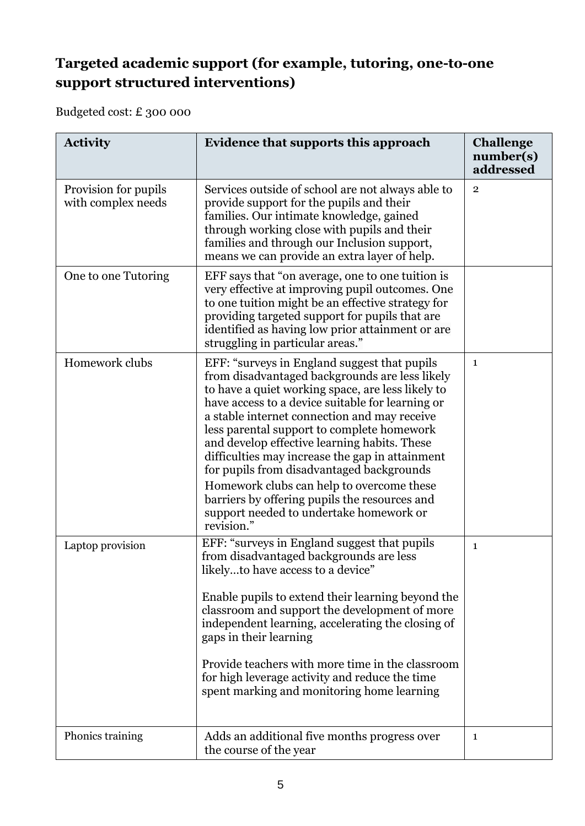#### **Targeted academic support (for example, tutoring, one-to-one support structured interventions)**

Budgeted cost: £ 300 000

| <b>Activity</b>                            | <b>Evidence that supports this approach</b>                                                                                                                                                                                                                                                                                                                                                                                                                                                                                                         | <b>Challenge</b><br>number(s)<br>addressed |
|--------------------------------------------|-----------------------------------------------------------------------------------------------------------------------------------------------------------------------------------------------------------------------------------------------------------------------------------------------------------------------------------------------------------------------------------------------------------------------------------------------------------------------------------------------------------------------------------------------------|--------------------------------------------|
| Provision for pupils<br>with complex needs | Services outside of school are not always able to<br>provide support for the pupils and their<br>families. Our intimate knowledge, gained<br>through working close with pupils and their<br>families and through our Inclusion support,<br>means we can provide an extra layer of help.                                                                                                                                                                                                                                                             | $\overline{2}$                             |
| One to one Tutoring                        | EFF says that "on average, one to one tuition is<br>very effective at improving pupil outcomes. One<br>to one tuition might be an effective strategy for<br>providing targeted support for pupils that are<br>identified as having low prior attainment or are<br>struggling in particular areas."                                                                                                                                                                                                                                                  |                                            |
| Homework clubs                             | EFF: "surveys in England suggest that pupils<br>from disadvantaged backgrounds are less likely<br>to have a quiet working space, are less likely to<br>have access to a device suitable for learning or<br>a stable internet connection and may receive<br>less parental support to complete homework<br>and develop effective learning habits. These<br>difficulties may increase the gap in attainment<br>for pupils from disadvantaged backgrounds<br>Homework clubs can help to overcome these<br>barriers by offering pupils the resources and | $\mathbf{1}$                               |
|                                            | support needed to undertake homework or<br>revision."                                                                                                                                                                                                                                                                                                                                                                                                                                                                                               |                                            |
| Laptop provision                           | EFF: "surveys in England suggest that pupils<br>from disadvantaged backgrounds are less<br>likelyto have access to a device"<br>Enable pupils to extend their learning beyond the<br>classroom and support the development of more<br>independent learning, accelerating the closing of<br>gaps in their learning<br>Provide teachers with more time in the classroom<br>for high leverage activity and reduce the time<br>spent marking and monitoring home learning                                                                               | $\mathbf{1}$                               |
| Phonics training                           | Adds an additional five months progress over<br>the course of the year                                                                                                                                                                                                                                                                                                                                                                                                                                                                              | 1                                          |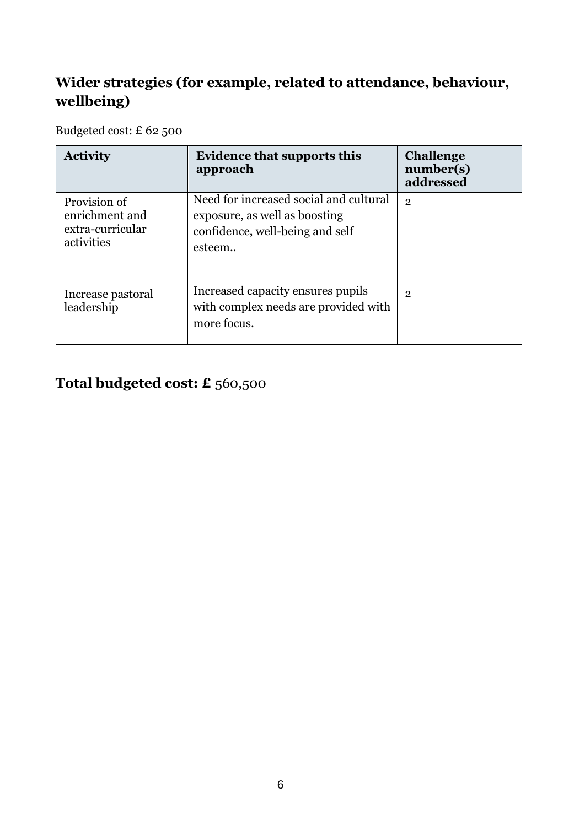### **Wider strategies (for example, related to attendance, behaviour, wellbeing)**

Budgeted cost: £ 62 500

| <b>Activity</b>                                                  | <b>Evidence that supports this</b><br>approach                                                                       | <b>Challenge</b><br>number(s)<br>addressed |
|------------------------------------------------------------------|----------------------------------------------------------------------------------------------------------------------|--------------------------------------------|
| Provision of<br>enrichment and<br>extra-curricular<br>activities | Need for increased social and cultural<br>exposure, as well as boosting<br>confidence, well-being and self<br>esteem | $\overline{2}$                             |
| Increase pastoral<br>leadership                                  | Increased capacity ensures pupils<br>with complex needs are provided with<br>more focus.                             | $\overline{2}$                             |

### **Total budgeted cost: £** 560,500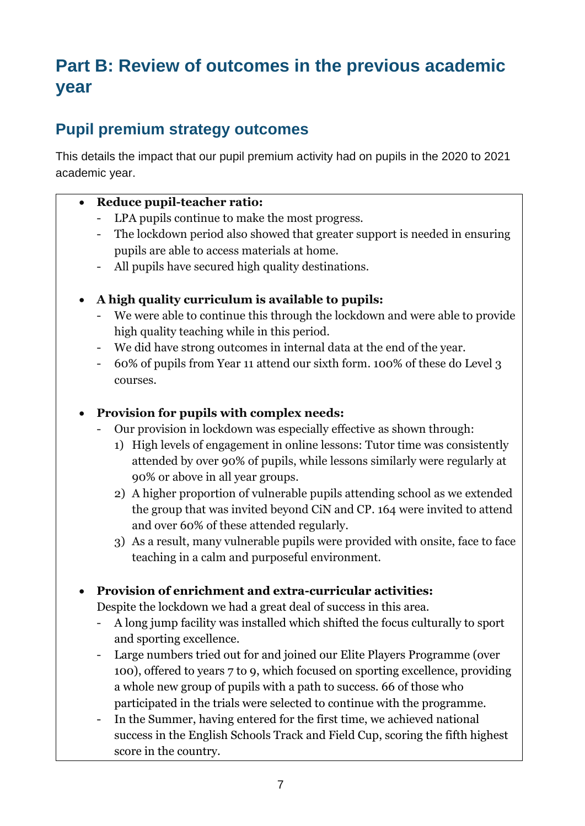# **Part B: Review of outcomes in the previous academic year**

### **Pupil premium strategy outcomes**

This details the impact that our pupil premium activity had on pupils in the 2020 to 2021 academic year.

#### • **Reduce pupil-teacher ratio:**

- LPA pupils continue to make the most progress.
- The lockdown period also showed that greater support is needed in ensuring pupils are able to access materials at home.
- All pupils have secured high quality destinations.
- **A high quality curriculum is available to pupils:**
	- We were able to continue this through the lockdown and were able to provide high quality teaching while in this period.
	- We did have strong outcomes in internal data at the end of the year.
	- 60% of pupils from Year 11 attend our sixth form. 100% of these do Level 3 courses.

#### • **Provision for pupils with complex needs:**

- Our provision in lockdown was especially effective as shown through:
	- 1) High levels of engagement in online lessons: Tutor time was consistently attended by over 90% of pupils, while lessons similarly were regularly at 90% or above in all year groups.
	- 2) A higher proportion of vulnerable pupils attending school as we extended the group that was invited beyond CiN and CP. 164 were invited to attend and over 60% of these attended regularly.
	- 3) As a result, many vulnerable pupils were provided with onsite, face to face teaching in a calm and purposeful environment.

#### • **Provision of enrichment and extra-curricular activities:**

Despite the lockdown we had a great deal of success in this area.

- A long jump facility was installed which shifted the focus culturally to sport and sporting excellence.
- Large numbers tried out for and joined our Elite Players Programme (over 100), offered to years 7 to 9, which focused on sporting excellence, providing a whole new group of pupils with a path to success. 66 of those who participated in the trials were selected to continue with the programme.
- In the Summer, having entered for the first time, we achieved national success in the English Schools Track and Field Cup, scoring the fifth highest score in the country.